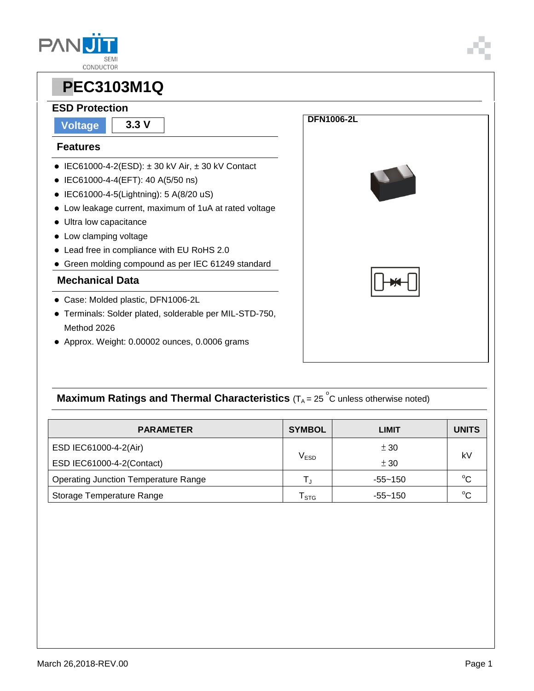



#### **ESD Protection**

**Voltage 3.3 V**

#### **Features**

- $\bullet$  IEC61000-4-2(ESD):  $\pm$  30 kV Air,  $\pm$  30 kV Contact
- IEC61000-4-4(EFT): 40 A(5/50 ns)
- IEC61000-4-5(Lightning): 5 A(8/20 uS)
- Low leakage current, maximum of 1uA at rated voltage
- Ultra low capacitance
- Low clamping voltage
- Lead free in compliance with EU RoHS 2.0
- Green molding compound as per IEC 61249 standard

#### **Mechanical Data**

- Case: Molded plastic, DFN1006-2L
- Terminals: Solder plated, solderable per MIL-STD-750, Method 2026
- Approx. Weight: 0.00002 ounces, 0.0006 grams



### **Maximum Ratings and Thermal Characteristics** (T<sub>A</sub> = 25<sup>°</sup>C unless otherwise noted)

| <b>PARAMETER</b>                            | <b>SYMBOL</b> | LIMIT       | <b>UNITS</b> |  |
|---------------------------------------------|---------------|-------------|--------------|--|
| ESD IEC61000-4-2(Air)                       |               | ± 30        | kV           |  |
| ESD IEC61000-4-2(Contact)                   | $\rm V_{ESD}$ | ± 30        |              |  |
| <b>Operating Junction Temperature Range</b> |               | $-55 - 150$ | $^{\circ}C$  |  |
| Storage Temperature Range                   | <b>STG</b>    | $-55 - 150$ | $^{\circ}C$  |  |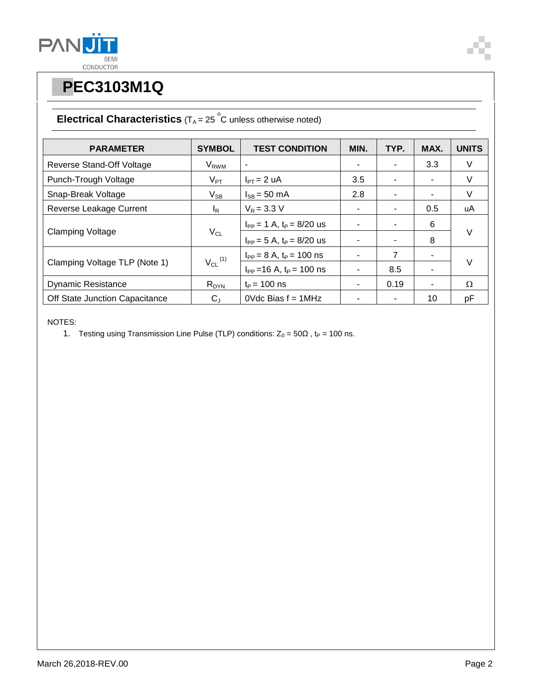



### **Electrical Characteristics**  $(T_A = 25 \degree C$  unless otherwise noted)

| <b>PARAMETER</b>               | <b>SYMBOL</b>              | <b>TEST CONDITION</b>           | MIN. | TYP. | MAX. | <b>UNITS</b> |
|--------------------------------|----------------------------|---------------------------------|------|------|------|--------------|
| Reverse Stand-Off Voltage      | <b>V<sub>RWM</sub></b>     | $\overline{\phantom{a}}$        |      |      | 3.3  | V            |
| Punch-Trough Voltage           | $V_{\mathsf{PT}}$          | $I_{PT} = 2 uA$                 | 3.5  |      | ٠    | V            |
| Snap-Break Voltage             | $\mathsf{V}_{\mathsf{SB}}$ | $I_{SB}$ = 50 mA                | 2.8  |      | ۰    | V            |
| Reverse Leakage Current        | I <sub>R</sub>             | $V_R = 3.3 V$                   |      |      | 0.5  | uA           |
| <b>Clamping Voltage</b>        | $V_{CL}$                   | $I_{PP} = 1$ A, $t_P = 8/20$ us |      |      | 6    | $\vee$       |
|                                |                            | $I_{PP} = 5$ A, $t_P = 8/20$ us |      |      | 8    |              |
| Clamping Voltage TLP (Note 1)  | $V_{CL}$ <sup>(1)</sup>    | $I_{PP} = 8 A$ , $t_P = 100$ ns |      | 7    | ۰    | $\vee$       |
|                                |                            | $I_{PP}$ = 16 A, $t_P$ = 100 ns |      | 8.5  |      |              |
| <b>Dynamic Resistance</b>      | $R_{DYN}$                  | $t_P = 100$ ns                  |      | 0.19 | Ξ.   | Ω            |
| Off State Junction Capacitance | $C_{J}$                    | $0$ Vdc Bias $f = 1$ MHz        |      |      | 10   | pF           |

NOTES:

1. Testing using Transmission Line Pulse (TLP) conditions:  $Z_0 = 50\Omega$ , t<sub>P</sub> = 100 ns.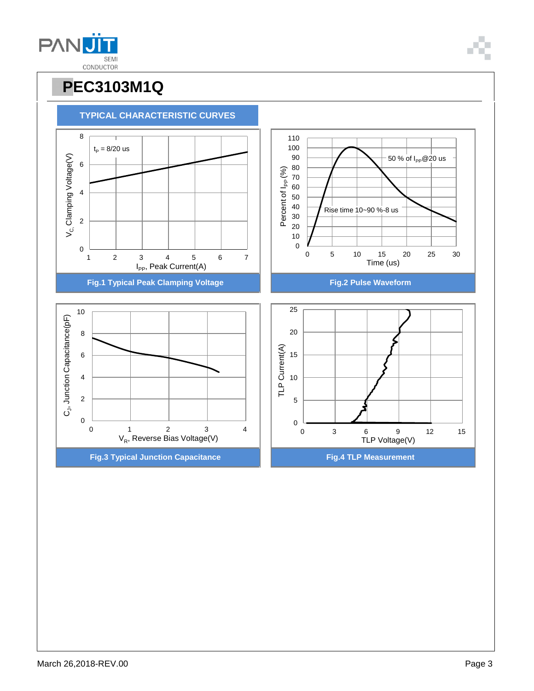March 26,2018-REV.00 **Page 3** 





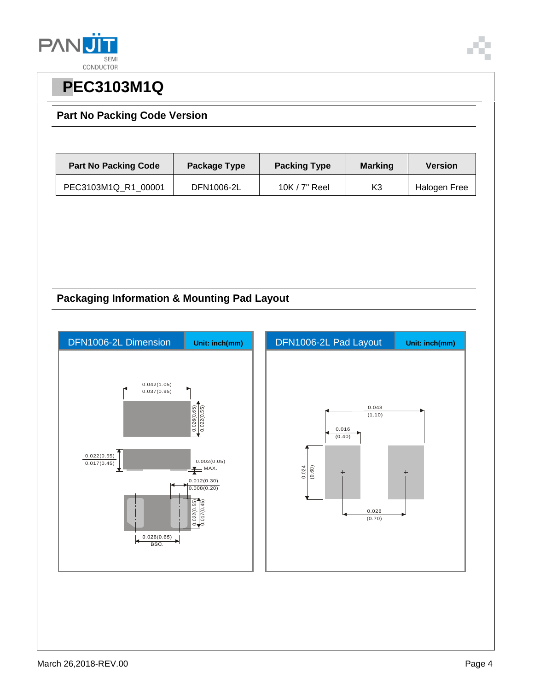

#### **Part No Packing Code Version**

| <b>Part No Packing Code</b> | Package Type | <b>Packing Type</b> | <b>Marking</b> | <b>Version</b> |
|-----------------------------|--------------|---------------------|----------------|----------------|
| PEC3103M1Q R1 00001         | DFN1006-2L   | $10K / 7"$ Reel     | K3             | Halogen Free   |

### **Packaging Information & Mounting Pad Layout**